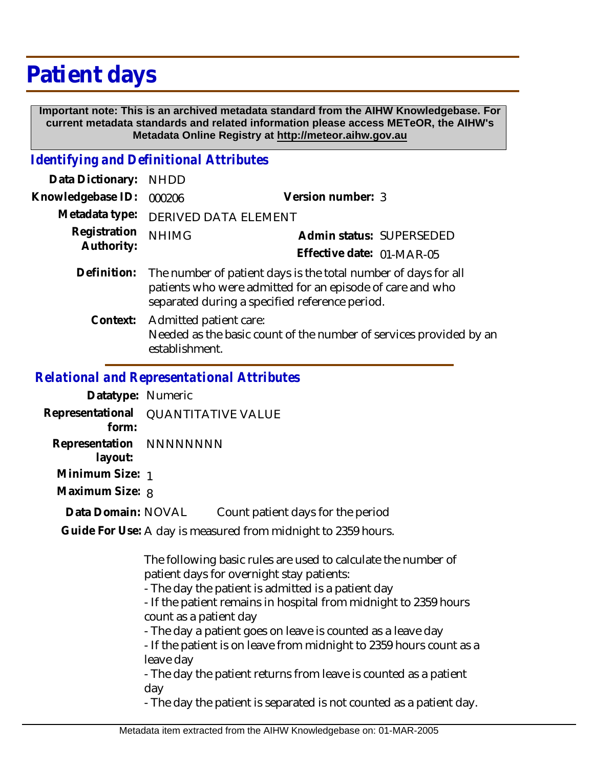# **Patient days**

 **Important note: This is an archived metadata standard from the AIHW Knowledgebase. For current metadata standards and related information please access METeOR, the AIHW's Metadata Online Registry at http://meteor.aihw.gov.au**

#### *Identifying and Definitional Attributes*

| Data Dictionary:                             | <b>NHDD</b>                                                                                                                                                                   |                                                                    |  |
|----------------------------------------------|-------------------------------------------------------------------------------------------------------------------------------------------------------------------------------|--------------------------------------------------------------------|--|
| Knowledgebase ID:                            | 000206                                                                                                                                                                        | Version number: 3                                                  |  |
| Metadata type:<br>Registration<br>Authority: | DERIVED DATA ELEMENT                                                                                                                                                          |                                                                    |  |
|                                              | <b>NHIMG</b>                                                                                                                                                                  | Admin status: SUPERSEDED                                           |  |
|                                              |                                                                                                                                                                               | Effective date: 01-MAR-05                                          |  |
| Definition:                                  | The number of patient days is the total number of days for all<br>patients who were admitted for an episode of care and who<br>separated during a specified reference period. |                                                                    |  |
| Context:                                     | Admitted patient care:<br>establishment.                                                                                                                                      | Needed as the basic count of the number of services provided by an |  |
|                                              |                                                                                                                                                                               |                                                                    |  |

#### *Relational and Representational Attributes*

| Datatype: Numeric                   |                           |                                                               |
|-------------------------------------|---------------------------|---------------------------------------------------------------|
| Representational<br>form:           | <b>QUANTITATIVE VALUE</b> |                                                               |
| Representation NNNNNNNNN<br>layout: |                           |                                                               |
| Minimum Size: 1                     |                           |                                                               |
| Maximum Size: 8                     |                           |                                                               |
| Data Domain: NOVAL                  |                           | Count patient days for the period                             |
|                                     |                           | Guide For Use: A day is measured from midnight to 2359 hours. |

The following basic rules are used to calculate the number of patient days for overnight stay patients:

- The day the patient is admitted is a patient day

- If the patient remains in hospital from midnight to 2359 hours count as a patient day

- The day a patient goes on leave is counted as a leave day

- If the patient is on leave from midnight to 2359 hours count as a leave day

- The day the patient returns from leave is counted as a patient day

- The day the patient is separated is not counted as a patient day.